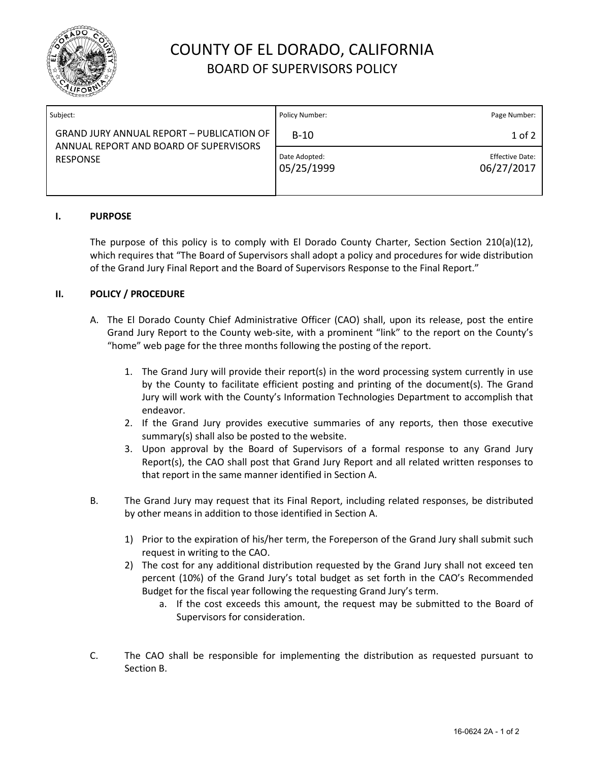

# COUNTY OF EL DORADO, CALIFORNIA BOARD OF SUPERVISORS POLICY

| Subject:                                                                                                      | Policy Number:              | Page Number:                         |
|---------------------------------------------------------------------------------------------------------------|-----------------------------|--------------------------------------|
| <b>GRAND JURY ANNUAL REPORT - PUBLICATION OF</b><br>ANNUAL REPORT AND BOARD OF SUPERVISORS<br><b>RESPONSE</b> | $B-10$                      | $1$ of $2$                           |
|                                                                                                               | Date Adopted:<br>05/25/1999 | <b>Effective Date:</b><br>06/27/2017 |

### **I. PURPOSE**

The purpose of this policy is to comply with El Dorado County Charter, Section Section 210(a)(12), which requires that "The Board of Supervisors shall adopt a policy and procedures for wide distribution of the Grand Jury Final Report and the Board of Supervisors Response to the Final Report."

#### **II. POLICY / PROCEDURE**

- A. The El Dorado County Chief Administrative Officer (CAO) shall, upon its release, post the entire Grand Jury Report to the County web-site, with a prominent "link" to the report on the County's "home" web page for the three months following the posting of the report.
	- 1. The Grand Jury will provide their report(s) in the word processing system currently in use by the County to facilitate efficient posting and printing of the document(s). The Grand Jury will work with the County's Information Technologies Department to accomplish that endeavor.
	- 2. If the Grand Jury provides executive summaries of any reports, then those executive summary(s) shall also be posted to the website.
	- 3. Upon approval by the Board of Supervisors of a formal response to any Grand Jury Report(s), the CAO shall post that Grand Jury Report and all related written responses to that report in the same manner identified in Section A.
- B. The Grand Jury may request that its Final Report, including related responses, be distributed by other means in addition to those identified in Section A.
	- 1) Prior to the expiration of his/her term, the Foreperson of the Grand Jury shall submit such request in writing to the CAO.
	- 2) The cost for any additional distribution requested by the Grand Jury shall not exceed ten percent (10%) of the Grand Jury's total budget as set forth in the CAO's Recommended Budget for the fiscal year following the requesting Grand Jury's term.
		- a. If the cost exceeds this amount, the request may be submitted to the Board of Supervisors for consideration.
- C. The CAO shall be responsible for implementing the distribution as requested pursuant to Section B.